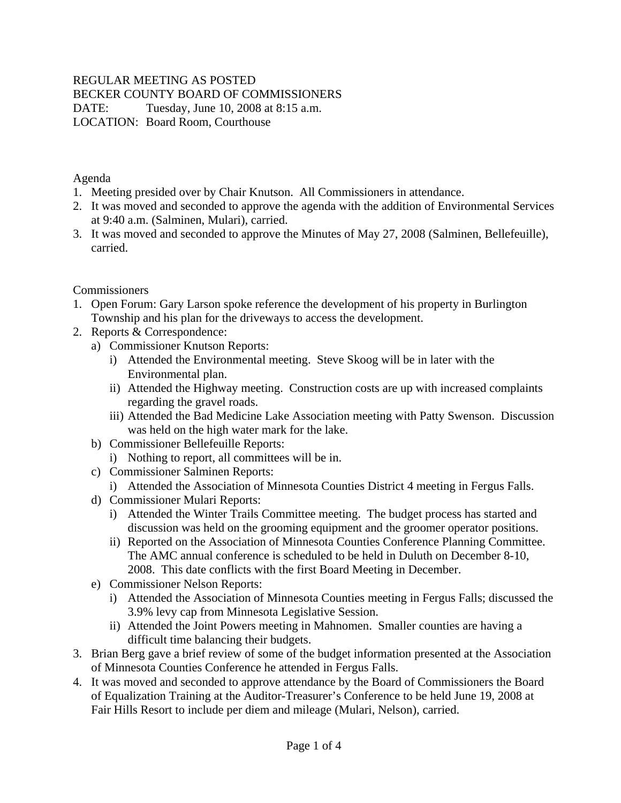## REGULAR MEETING AS POSTED

BECKER COUNTY BOARD OF COMMISSIONERS

DATE: Tuesday, June 10, 2008 at 8:15 a.m. LOCATION: Board Room, Courthouse

Agenda

- 1. Meeting presided over by Chair Knutson. All Commissioners in attendance.
- 2. It was moved and seconded to approve the agenda with the addition of Environmental Services at 9:40 a.m. (Salminen, Mulari), carried.
- 3. It was moved and seconded to approve the Minutes of May 27, 2008 (Salminen, Bellefeuille), carried.

#### Commissioners

- 1. Open Forum: Gary Larson spoke reference the development of his property in Burlington Township and his plan for the driveways to access the development.
- 2. Reports & Correspondence:
	- a) Commissioner Knutson Reports:
		- i) Attended the Environmental meeting. Steve Skoog will be in later with the Environmental plan.
		- ii) Attended the Highway meeting. Construction costs are up with increased complaints regarding the gravel roads.
		- iii) Attended the Bad Medicine Lake Association meeting with Patty Swenson. Discussion was held on the high water mark for the lake.
	- b) Commissioner Bellefeuille Reports:
		- i) Nothing to report, all committees will be in.
	- c) Commissioner Salminen Reports:
		- i) Attended the Association of Minnesota Counties District 4 meeting in Fergus Falls.
	- d) Commissioner Mulari Reports:
		- i) Attended the Winter Trails Committee meeting. The budget process has started and discussion was held on the grooming equipment and the groomer operator positions.
		- ii) Reported on the Association of Minnesota Counties Conference Planning Committee. The AMC annual conference is scheduled to be held in Duluth on December 8-10, 2008. This date conflicts with the first Board Meeting in December.
	- e) Commissioner Nelson Reports:
		- i) Attended the Association of Minnesota Counties meeting in Fergus Falls; discussed the 3.9% levy cap from Minnesota Legislative Session.
		- ii) Attended the Joint Powers meeting in Mahnomen. Smaller counties are having a difficult time balancing their budgets.
- 3. Brian Berg gave a brief review of some of the budget information presented at the Association of Minnesota Counties Conference he attended in Fergus Falls.
- 4. It was moved and seconded to approve attendance by the Board of Commissioners the Board of Equalization Training at the Auditor-Treasurer's Conference to be held June 19, 2008 at Fair Hills Resort to include per diem and mileage (Mulari, Nelson), carried.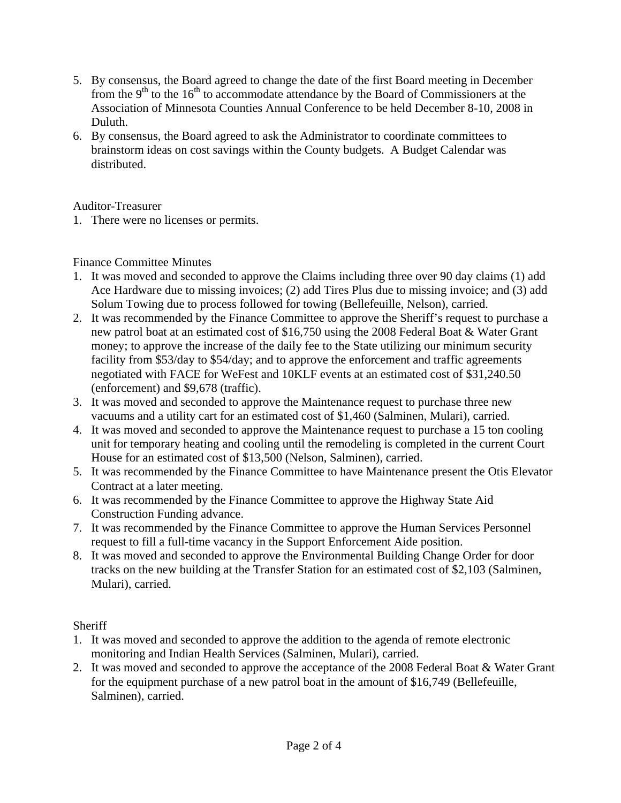- 5. By consensus, the Board agreed to change the date of the first Board meeting in December from the  $9<sup>th</sup>$  to the 16<sup>th</sup> to accommodate attendance by the Board of Commissioners at the Association of Minnesota Counties Annual Conference to be held December 8-10, 2008 in Duluth.
- 6. By consensus, the Board agreed to ask the Administrator to coordinate committees to brainstorm ideas on cost savings within the County budgets. A Budget Calendar was distributed.

#### Auditor-Treasurer

1. There were no licenses or permits.

#### Finance Committee Minutes

- 1. It was moved and seconded to approve the Claims including three over 90 day claims (1) add Ace Hardware due to missing invoices; (2) add Tires Plus due to missing invoice; and (3) add Solum Towing due to process followed for towing (Bellefeuille, Nelson), carried.
- 2. It was recommended by the Finance Committee to approve the Sheriff's request to purchase a new patrol boat at an estimated cost of \$16,750 using the 2008 Federal Boat & Water Grant money; to approve the increase of the daily fee to the State utilizing our minimum security facility from \$53/day to \$54/day; and to approve the enforcement and traffic agreements negotiated with FACE for WeFest and 10KLF events at an estimated cost of \$31,240.50 (enforcement) and \$9,678 (traffic).
- 3. It was moved and seconded to approve the Maintenance request to purchase three new vacuums and a utility cart for an estimated cost of \$1,460 (Salminen, Mulari), carried.
- 4. It was moved and seconded to approve the Maintenance request to purchase a 15 ton cooling unit for temporary heating and cooling until the remodeling is completed in the current Court House for an estimated cost of \$13,500 (Nelson, Salminen), carried.
- 5. It was recommended by the Finance Committee to have Maintenance present the Otis Elevator Contract at a later meeting.
- 6. It was recommended by the Finance Committee to approve the Highway State Aid Construction Funding advance.
- 7. It was recommended by the Finance Committee to approve the Human Services Personnel request to fill a full-time vacancy in the Support Enforcement Aide position.
- 8. It was moved and seconded to approve the Environmental Building Change Order for door tracks on the new building at the Transfer Station for an estimated cost of \$2,103 (Salminen, Mulari), carried.

## **Sheriff**

- 1. It was moved and seconded to approve the addition to the agenda of remote electronic monitoring and Indian Health Services (Salminen, Mulari), carried.
- 2. It was moved and seconded to approve the acceptance of the 2008 Federal Boat & Water Grant for the equipment purchase of a new patrol boat in the amount of \$16,749 (Bellefeuille, Salminen), carried.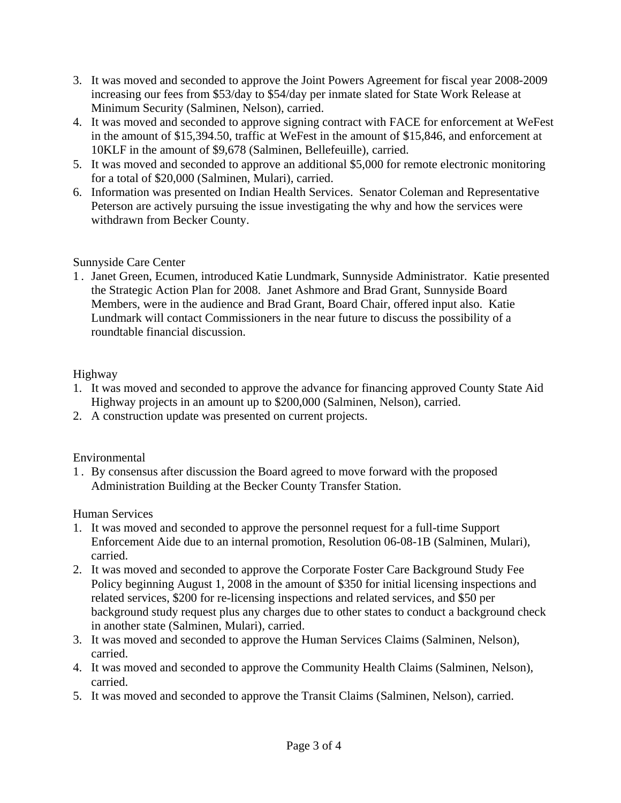- 3. It was moved and seconded to approve the Joint Powers Agreement for fiscal year 2008-2009 increasing our fees from \$53/day to \$54/day per inmate slated for State Work Release at Minimum Security (Salminen, Nelson), carried.
- 4. It was moved and seconded to approve signing contract with FACE for enforcement at WeFest in the amount of \$15,394.50, traffic at WeFest in the amount of \$15,846, and enforcement at 10KLF in the amount of \$9,678 (Salminen, Bellefeuille), carried.
- 5. It was moved and seconded to approve an additional \$5,000 for remote electronic monitoring for a total of \$20,000 (Salminen, Mulari), carried.
- 6. Information was presented on Indian Health Services. Senator Coleman and Representative Peterson are actively pursuing the issue investigating the why and how the services were withdrawn from Becker County.

## Sunnyside Care Center

1 . Janet Green, Ecumen, introduced Katie Lundmark, Sunnyside Administrator. Katie presented the Strategic Action Plan for 2008. Janet Ashmore and Brad Grant, Sunnyside Board Members, were in the audience and Brad Grant, Board Chair, offered input also. Katie Lundmark will contact Commissioners in the near future to discuss the possibility of a roundtable financial discussion.

## Highway

- 1. It was moved and seconded to approve the advance for financing approved County State Aid Highway projects in an amount up to \$200,000 (Salminen, Nelson), carried.
- 2. A construction update was presented on current projects.

# Environmental

1 . By consensus after discussion the Board agreed to move forward with the proposed Administration Building at the Becker County Transfer Station.

## Human Services

- 1. It was moved and seconded to approve the personnel request for a full-time Support Enforcement Aide due to an internal promotion, Resolution 06-08-1B (Salminen, Mulari), carried.
- 2. It was moved and seconded to approve the Corporate Foster Care Background Study Fee Policy beginning August 1, 2008 in the amount of \$350 for initial licensing inspections and related services, \$200 for re-licensing inspections and related services, and \$50 per background study request plus any charges due to other states to conduct a background check in another state (Salminen, Mulari), carried.
- 3. It was moved and seconded to approve the Human Services Claims (Salminen, Nelson), carried.
- 4. It was moved and seconded to approve the Community Health Claims (Salminen, Nelson), carried.
- 5. It was moved and seconded to approve the Transit Claims (Salminen, Nelson), carried.